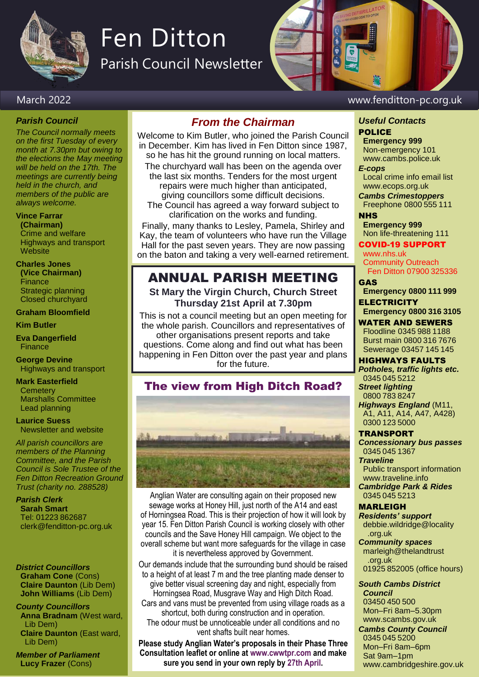

# Fen Ditton

Parish Council Newsletter



### *Parish Council*

*The Council normally meets on the first Tuesday of every month at 7.30pm but owing to the elections the May meeting will be held on the 17th. The meetings are currently being held in the church, and members of the public are always welcome.* 

#### **Vince Farrar**

**(Chairman)** Crime and welfare Highways and transport **Website** 

#### **Charles Jones**

**(Vice Chairman)** Finance Strategic planning Closed churchyard

**Graham Bloomfield**

**Kim Butler**

**Eva Dangerfield Finance** 

**George Devine** Highways and transport

# **Mark Easterfield**

**Cemetery** Marshalls Committee Lead planning

#### **Laurice Suess** Newsletter and website

*All parish councillors are members of the Planning Committee, and the Parish Council is Sole Trustee of the Fen Ditton Recreation Ground Trust (charity no. 288528)*

*Parish Clerk* **Sarah Smart** Tel: 01223 862687 clerk@fenditton-pc.org.uk

#### *District Councillors* **Graham Cone** (Cons) **Claire Daunton** (Lib Dem) **John Williams** (Lib Dem)

*County Councillors* **Anna Bradnam** (West ward, Lib Dem) **Claire Daunton** (East ward, Lib Dem)

*Member of Parliament* **Lucy Frazer** (Cons)

# *From the Chairman*

Welcome to Kim Butler, who joined the Parish Council in December. Kim has lived in Fen Ditton since 1987, so he has hit the ground running on local matters. The churchyard wall has been on the agenda over the last six months. Tenders for the most urgent repairs were much higher than anticipated, giving councillors some difficult decisions. The Council has agreed a way forward subject to

clarification on the works and funding.

Finally, many thanks to Lesley, Pamela, Shirley and Kay, the team of volunteers who have run the Village Hall for the past seven years. They are now passing on the baton and taking a very well-earned retirement.

# ANNUAL PARISH MEETING

**St Mary the Virgin Church, Church Street Thursday 21st April at 7.30pm**

This is not a council meeting but an open meeting for the whole parish. Councillors and representatives of other organisations present reports and take questions. Come along and find out what has been happening in Fen Ditton over the past year and plans for the future.

# The view from High Ditch Road?



Anglian Water are consulting again on their proposed new sewage works at Honey Hill, just north of the A14 and east of Horningsea Road. This is their projection of how it will look by year 15. Fen Ditton Parish Council is working closely with other councils and the Save Honey Hill campaign. We object to the overall scheme but want more safeguards for the village in case it is nevertheless approved by Government.

Our demands include that the surrounding bund should be raised to a height of at least 7 m and the tree planting made denser to give better visual screening day and night, especially from Horningsea Road, Musgrave Way and High Ditch Road. Cars and vans must be prevented from using village roads as a shortcut, both during construction and in operation. The odour must be unnoticeable under all conditions and no vent shafts built near homes.

**Please study Anglian Water's proposals in their Phase Three Consultation leaflet or online at www.cwwtpr.com and make sure you send in your own reply by 27th April.**

# March 2022 www.fenditton-pc.org.uk

#### *Useful Contacts* POLICE

**Emergency 999** Non-emergency 101 www.cambs.police.uk *E-cops*

Local crime info email list www.ecops.org.uk

*Cambs Crimestoppers* Freephone 0800 555 111

NHS **Emergency 999** Non life-threatening 111

COVID-19 SUPPORT www.nhs.uk

Community Outreach Fen Ditton 07900 325336

#### GAS **Emergency 0800 111 999**

**ELECTRICITY Emergency 0800 316 3105**

WATER AND SEWERS Floodline 0345 988 1188

Burst main 0800 316 7676 Sewerage 03457 145 145

HIGHWAYS FAULTS *Potholes, traffic lights etc.*

0345 045 5212 *Street lighting* 0800 783 8247 *Highways England* (M11,

A1, A11, A14, A47, A428) 0300 123 5000

### TRANSPORT

*Concessionary bus passes* 0345 045 1367 *Traveline* Public transport information www.traveline.info *Cambridge Park & Rides*

0345 045 5213

MARLEIGH *Residents' support*

debbie.wildridge@locality .org.uk *Community spaces* marleigh@thelandtrust .org.uk

01925 852005 (office hours)

*South Cambs District Council* 03450 450 500

Mon–Fri 8am–5.30pm www.scambs.gov.uk *Cambs County Council*

0345 045 5200 Mon–Fri 8am–6pm Sat 9am–1pm www.cambridgeshire.gov.uk